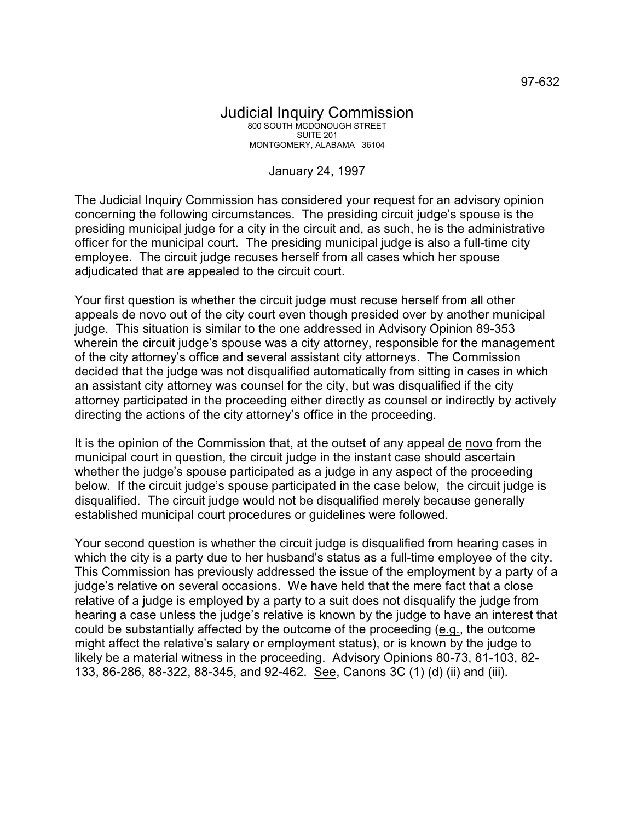## January 24, 1997

The Judicial Inquiry Commission has considered your request for an advisory opinion concerning the following circumstances. The presiding circuit judge's spouse is the presiding municipal judge for a city in the circuit and, as such, he is the administrative officer for the municipal court. The presiding municipal judge is also a full-time city employee. The circuit judge recuses herself from all cases which her spouse adjudicated that are appealed to the circuit court.

Your first question is whether the circuit judge must recuse herself from all other appeals de novo out of the city court even though presided over by another municipal judge. This situation is similar to the one addressed in Advisory Opinion 89-353 wherein the circuit judge's spouse was a city attorney, responsible for the management of the city attorney's office and several assistant city attorneys. The Commission decided that the judge was not disqualified automatically from sitting in cases in which an assistant city attorney was counsel for the city, but was disqualified if the city attorney participated in the proceeding either directly as counsel or indirectly by actively directing the actions of the city attorney's office in the proceeding.

It is the opinion of the Commission that, at the outset of any appeal de novo from the municipal court in question, the circuit judge in the instant case should ascertain whether the judge's spouse participated as a judge in any aspect of the proceeding below. If the circuit judge's spouse participated in the case below, the circuit judge is disqualified. The circuit judge would not be disqualified merely because generally established municipal court procedures or guidelines were followed.

Your second question is whether the circuit judge is disqualified from hearing cases in which the city is a party due to her husband's status as a full-time employee of the city. This Commission has previously addressed the issue of the employment by a party of a judge's relative on several occasions. We have held that the mere fact that a close relative of a judge is employed by a party to a suit does not disqualify the judge from hearing a case unless the judge's relative is known by the judge to have an interest that could be substantially affected by the outcome of the proceeding (e.g., the outcome might affect the relative's salary or employment status), or is known by the judge to likely be a material witness in the proceeding. Advisory Opinions 80-73, 81-103, 82- 133, 86-286, 88-322, 88-345, and 92-462. See, Canons 3C (1) (d) (ii) and (iii).